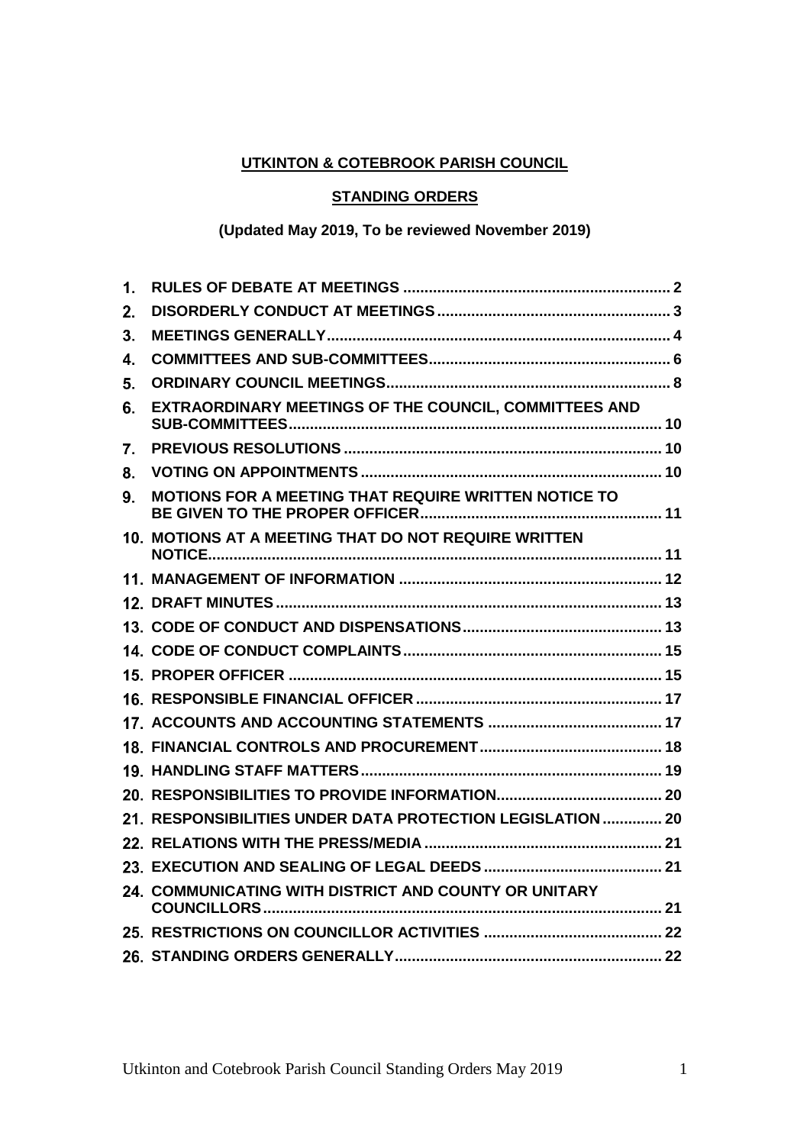# **UTKINTON & COTEBROOK PARISH COUNCIL**

## **STANDING ORDERS**

## **(Updated May 2019, To be reviewed November 2019)**

| 1. |                                                            |  |
|----|------------------------------------------------------------|--|
| 2. |                                                            |  |
| 3. |                                                            |  |
| 4. |                                                            |  |
| 5. |                                                            |  |
| 6. | EXTRAORDINARY MEETINGS OF THE COUNCIL, COMMITTEES AND      |  |
| 7. |                                                            |  |
| 8. |                                                            |  |
| 9. | MOTIONS FOR A MEETING THAT REQUIRE WRITTEN NOTICE TO       |  |
|    | 10. MOTIONS AT A MEETING THAT DO NOT REQUIRE WRITTEN       |  |
|    |                                                            |  |
|    |                                                            |  |
|    |                                                            |  |
|    |                                                            |  |
|    |                                                            |  |
|    |                                                            |  |
|    |                                                            |  |
|    |                                                            |  |
|    |                                                            |  |
|    |                                                            |  |
|    | 21. RESPONSIBILITIES UNDER DATA PROTECTION LEGISLATION  20 |  |
|    |                                                            |  |
|    |                                                            |  |
|    | 24. COMMUNICATING WITH DISTRICT AND COUNTY OR UNITARY      |  |
|    |                                                            |  |
|    |                                                            |  |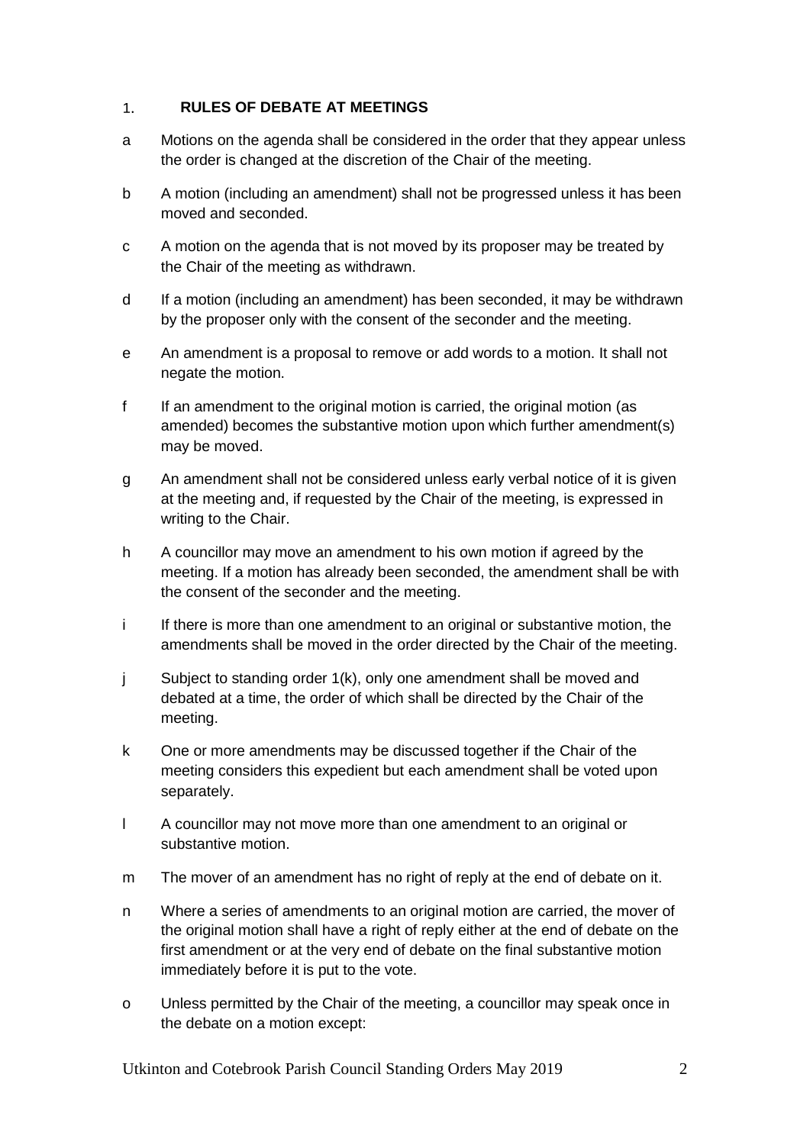#### <span id="page-1-0"></span> $1.$ **RULES OF DEBATE AT MEETINGS**

- a Motions on the agenda shall be considered in the order that they appear unless the order is changed at the discretion of the Chair of the meeting.
- b A motion (including an amendment) shall not be progressed unless it has been moved and seconded.
- c A motion on the agenda that is not moved by its proposer may be treated by the Chair of the meeting as withdrawn.
- d If a motion (including an amendment) has been seconded, it may be withdrawn by the proposer only with the consent of the seconder and the meeting.
- e An amendment is a proposal to remove or add words to a motion. It shall not negate the motion.
- f If an amendment to the original motion is carried, the original motion (as amended) becomes the substantive motion upon which further amendment(s) may be moved.
- g An amendment shall not be considered unless early verbal notice of it is given at the meeting and, if requested by the Chair of the meeting, is expressed in writing to the Chair.
- h A councillor may move an amendment to his own motion if agreed by the meeting. If a motion has already been seconded, the amendment shall be with the consent of the seconder and the meeting.
- i If there is more than one amendment to an original or substantive motion, the amendments shall be moved in the order directed by the Chair of the meeting.
- j Subject to standing order 1(k), only one amendment shall be moved and debated at a time, the order of which shall be directed by the Chair of the meeting.
- k One or more amendments may be discussed together if the Chair of the meeting considers this expedient but each amendment shall be voted upon separately.
- l A councillor may not move more than one amendment to an original or substantive motion.
- m The mover of an amendment has no right of reply at the end of debate on it.
- n Where a series of amendments to an original motion are carried, the mover of the original motion shall have a right of reply either at the end of debate on the first amendment or at the very end of debate on the final substantive motion immediately before it is put to the vote.
- o Unless permitted by the Chair of the meeting, a councillor may speak once in the debate on a motion except: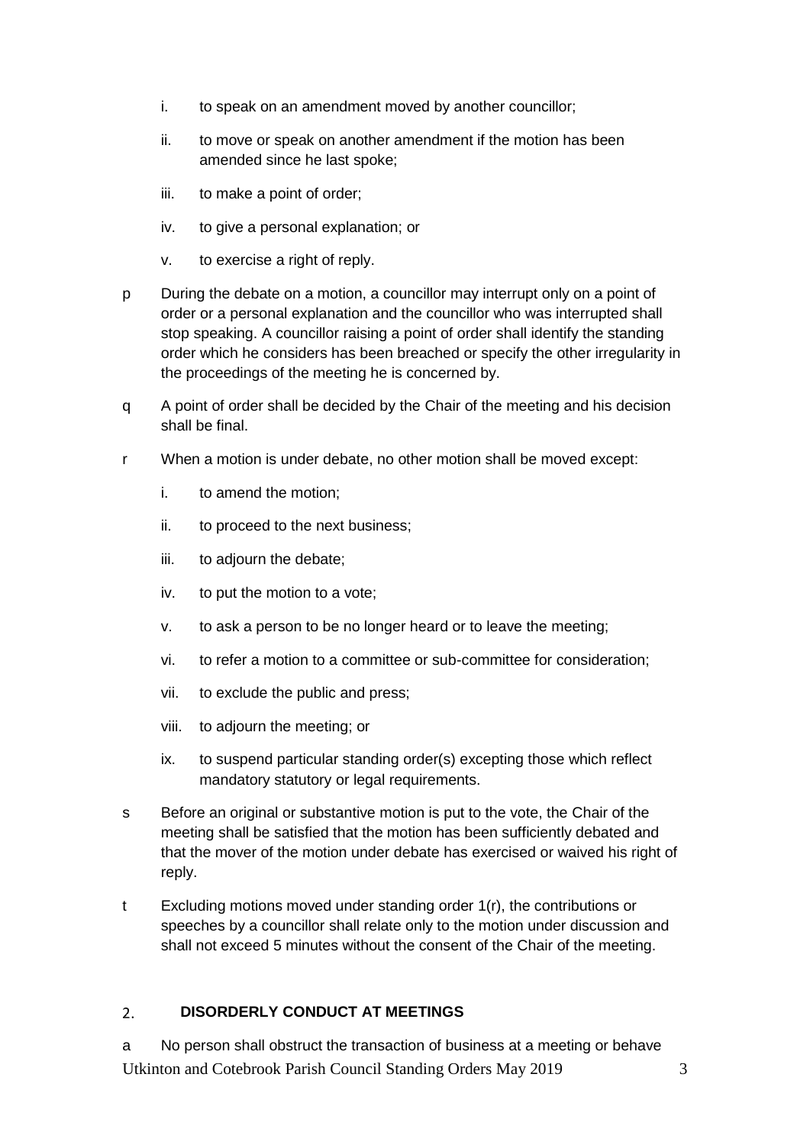- i. to speak on an amendment moved by another councillor;
- ii. to move or speak on another amendment if the motion has been amended since he last spoke;
- iii. to make a point of order;
- iv. to give a personal explanation; or
- v. to exercise a right of reply.
- p During the debate on a motion, a councillor may interrupt only on a point of order or a personal explanation and the councillor who was interrupted shall stop speaking. A councillor raising a point of order shall identify the standing order which he considers has been breached or specify the other irregularity in the proceedings of the meeting he is concerned by.
- q A point of order shall be decided by the Chair of the meeting and his decision shall be final.
- r When a motion is under debate, no other motion shall be moved except:
	- i. to amend the motion;
	- ii. to proceed to the next business;
	- iii. to adjourn the debate;
	- iv. to put the motion to a vote;
	- v. to ask a person to be no longer heard or to leave the meeting;
	- vi. to refer a motion to a committee or sub-committee for consideration;
	- vii. to exclude the public and press;
	- viii. to adjourn the meeting; or
	- ix. to suspend particular standing order(s) excepting those which reflect mandatory statutory or legal requirements.
- s Before an original or substantive motion is put to the vote, the Chair of the meeting shall be satisfied that the motion has been sufficiently debated and that the mover of the motion under debate has exercised or waived his right of reply.
- t Excluding motions moved under standing order 1(r), the contributions or speeches by a councillor shall relate only to the motion under discussion and shall not exceed 5 minutes without the consent of the Chair of the meeting.

#### <span id="page-2-0"></span>**DISORDERLY CONDUCT AT MEETINGS**  $2.$

Utkinton and Cotebrook Parish Council Standing Orders May 2019 3 a No person shall obstruct the transaction of business at a meeting or behave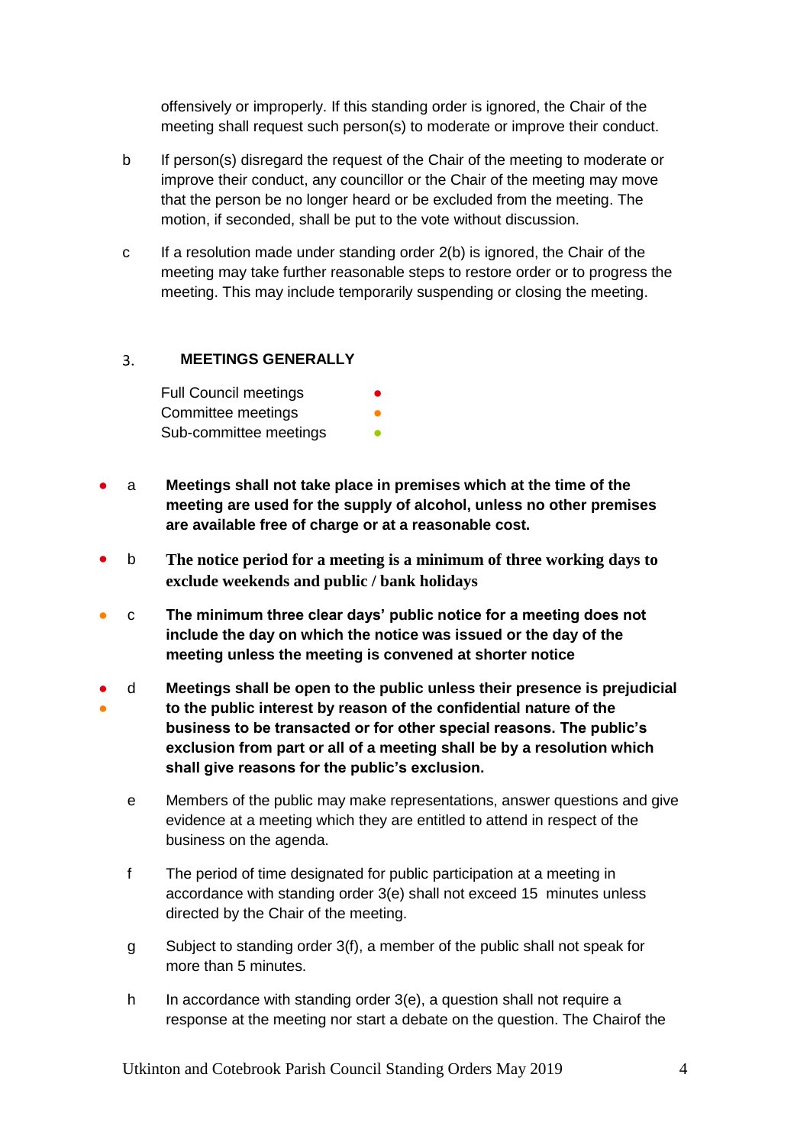offensively or improperly. If this standing order is ignored, the Chair of the meeting shall request such person(s) to moderate or improve their conduct.

- b If person(s) disregard the request of the Chair of the meeting to moderate or improve their conduct, any councillor or the Chair of the meeting may move that the person be no longer heard or be excluded from the meeting. The motion, if seconded, shall be put to the vote without discussion.
- c If a resolution made under standing order 2(b) is ignored, the Chair of the meeting may take further reasonable steps to restore order or to progress the meeting. This may include temporarily suspending or closing the meeting.

#### <span id="page-3-0"></span> $3.$ **MEETINGS GENERALLY**

Full Council meetings Committee meetings Sub-committee meetings

- a **Meetings shall not take place in premises which at the time of the meeting are used for the supply of alcohol, unless no other premises are available free of charge or at a reasonable cost.**
- b **The notice period for a meeting is a minimum of three working days to exclude weekends and public / bank holidays**
- c **The minimum three clear days' public notice for a meeting does not include the day on which the notice was issued or the day of the meeting unless the meeting is convened at shorter notice**
- ● d **Meetings shall be open to the public unless their presence is prejudicial to the public interest by reason of the confidential nature of the business to be transacted or for other special reasons. The public's exclusion from part or all of a meeting shall be by a resolution which shall give reasons for the public's exclusion.**
	- e Members of the public may make representations, answer questions and give evidence at a meeting which they are entitled to attend in respect of the business on the agenda.
	- f The period of time designated for public participation at a meeting in accordance with standing order 3(e) shall not exceed 15 minutes unless directed by the Chair of the meeting.
	- g Subject to standing order 3(f), a member of the public shall not speak for more than 5 minutes.
	- h In accordance with standing order 3(e), a question shall not require a response at the meeting nor start a debate on the question. The Chairof the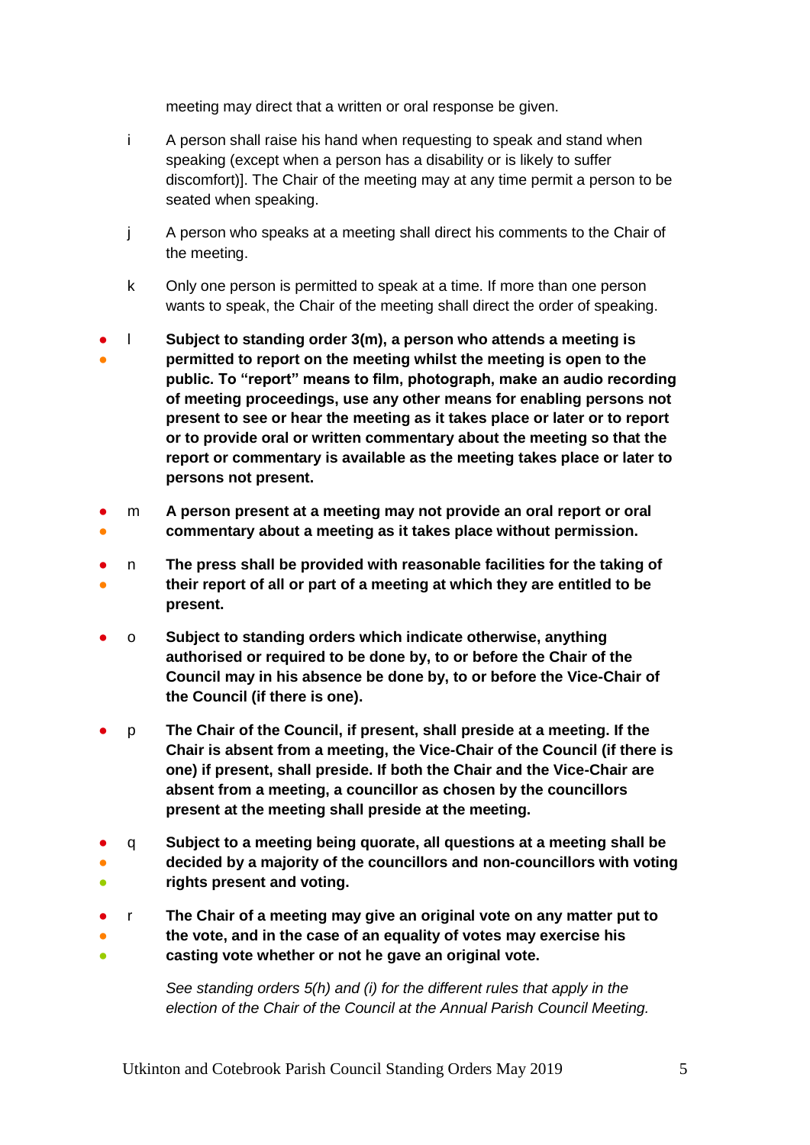meeting may direct that a written or oral response be given.

- i A person shall raise his hand when requesting to speak and stand when speaking (except when a person has a disability or is likely to suffer discomfort)]. The Chair of the meeting may at any time permit a person to be seated when speaking.
- j A person who speaks at a meeting shall direct his comments to the Chair of the meeting.
- k Only one person is permitted to speak at a time. If more than one person wants to speak, the Chair of the meeting shall direct the order of speaking.
- ● l **Subject to standing order 3(m), a person who attends a meeting is permitted to report on the meeting whilst the meeting is open to the public. To "report" means to film, photograph, make an audio recording of meeting proceedings, use any other means for enabling persons not present to see or hear the meeting as it takes place or later or to report or to provide oral or written commentary about the meeting so that the report or commentary is available as the meeting takes place or later to persons not present.**
- ● m **A person present at a meeting may not provide an oral report or oral commentary about a meeting as it takes place without permission.**
- ● n **The press shall be provided with reasonable facilities for the taking of their report of all or part of a meeting at which they are entitled to be present.**
- o **Subject to standing orders which indicate otherwise, anything authorised or required to be done by, to or before the Chair of the Council may in his absence be done by, to or before the Vice-Chair of the Council (if there is one).**
- p **The Chair of the Council, if present, shall preside at a meeting. If the Chair is absent from a meeting, the Vice-Chair of the Council (if there is one) if present, shall preside. If both the Chair and the Vice-Chair are absent from a meeting, a councillor as chosen by the councillors present at the meeting shall preside at the meeting.**
- ● ● q **Subject to a meeting being quorate, all questions at a meeting shall be decided by a majority of the councillors and non-councillors with voting rights present and voting.**
- r **The Chair of a meeting may give an original vote on any matter put to**
- 。<br>● ● **the vote, and in the case of an equality of votes may exercise his casting vote whether or not he gave an original vote.**

*See standing orders 5(h) and (i) for the different rules that apply in the election of the Chair of the Council at the Annual Parish Council Meeting.*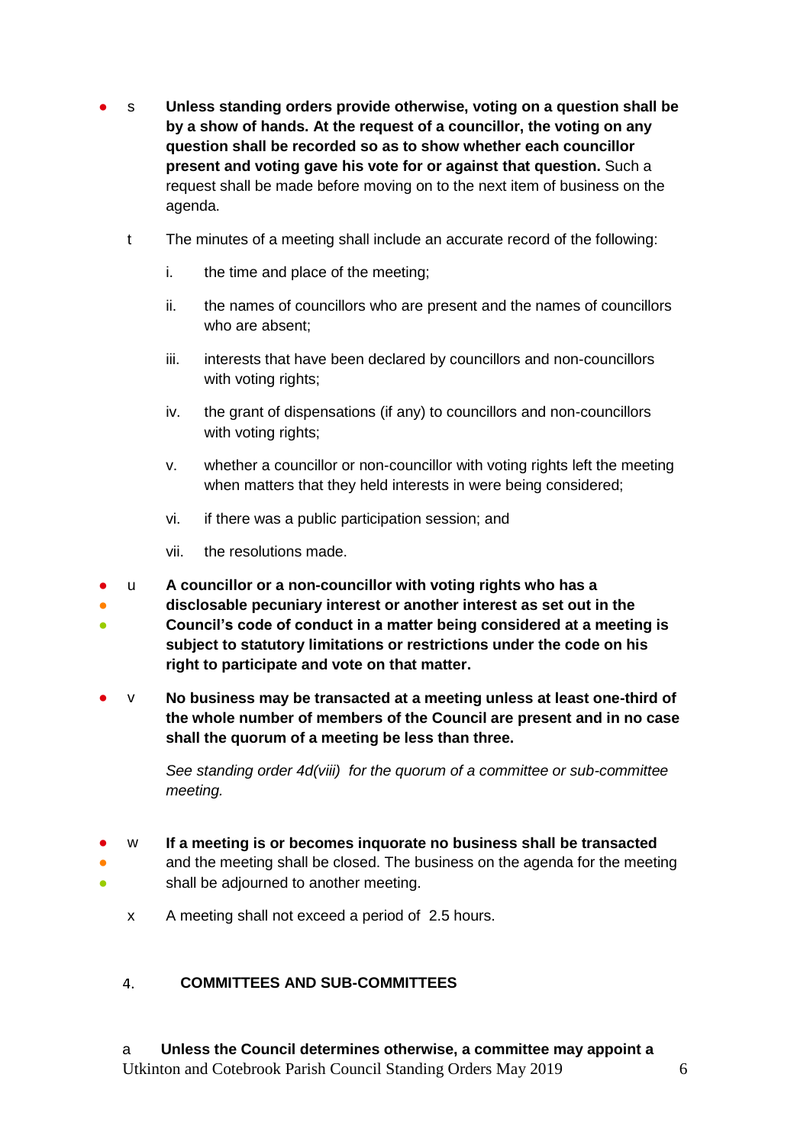- s **Unless standing orders provide otherwise, voting on a question shall be by a show of hands. At the request of a councillor, the voting on any question shall be recorded so as to show whether each councillor present and voting gave his vote for or against that question.** Such a request shall be made before moving on to the next item of business on the agenda.
	- t The minutes of a meeting shall include an accurate record of the following:
		- i. the time and place of the meeting;
		- ii. the names of councillors who are present and the names of councillors who are absent;
		- iii. interests that have been declared by councillors and non-councillors with voting rights;
		- iv. the grant of dispensations (if any) to councillors and non-councillors with voting rights;
		- v. whether a councillor or non-councillor with voting rights left the meeting when matters that they held interests in were being considered;
		- vi. if there was a public participation session; and
		- vii. the resolutions made.
- u **A councillor or a non-councillor with voting rights who has a**
- **disclosable pecuniary interest or another interest as set out in the**
- 。<br>一 **Council's code of conduct in a matter being considered at a meeting is subject to statutory limitations or restrictions under the code on his right to participate and vote on that matter.**
- v **No business may be transacted at a meeting unless at least one-third of the whole number of members of the Council are present and in no case shall the quorum of a meeting be less than three.**

*See standing order 4d(viii) for the quorum of a committee or sub-committee meeting.* 

- w **If a meeting is or becomes inquorate no business shall be transacted**
- ● and the meeting shall be closed. The business on the agenda for the meeting shall be adjourned to another meeting.
	- x A meeting shall not exceed a period of 2.5 hours.

#### <span id="page-5-0"></span> $4.$ **COMMITTEES AND SUB-COMMITTEES**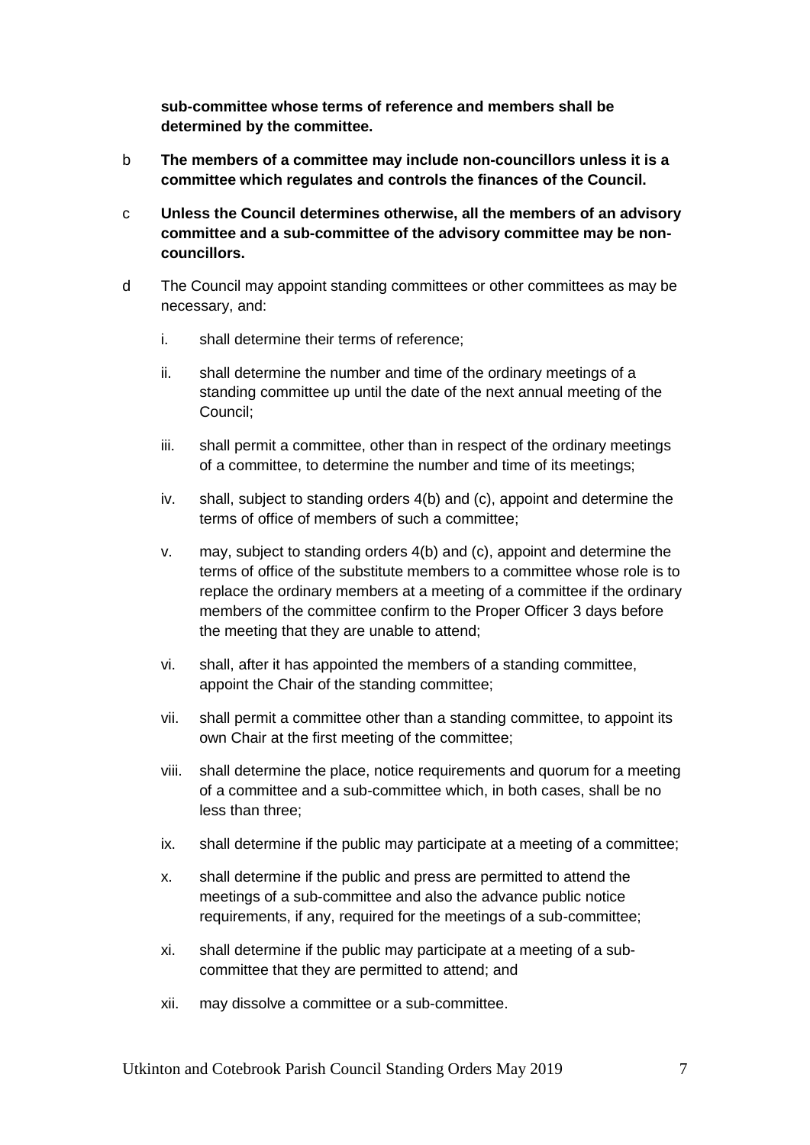**sub-committee whose terms of reference and members shall be determined by the committee.**

- b **The members of a committee may include non-councillors unless it is a committee which regulates and controls the finances of the Council.**
- c **Unless the Council determines otherwise, all the members of an advisory committee and a sub-committee of the advisory committee may be noncouncillors.**
- d The Council may appoint standing committees or other committees as may be necessary, and:
	- i. shall determine their terms of reference;
	- ii. shall determine the number and time of the ordinary meetings of a standing committee up until the date of the next annual meeting of the Council;
	- iii. shall permit a committee, other than in respect of the ordinary meetings of a committee, to determine the number and time of its meetings;
	- iv. shall, subject to standing orders 4(b) and (c), appoint and determine the terms of office of members of such a committee;
	- v. may, subject to standing orders 4(b) and (c), appoint and determine the terms of office of the substitute members to a committee whose role is to replace the ordinary members at a meeting of a committee if the ordinary members of the committee confirm to the Proper Officer 3 days before the meeting that they are unable to attend;
	- vi. shall, after it has appointed the members of a standing committee, appoint the Chair of the standing committee;
	- vii. shall permit a committee other than a standing committee, to appoint its own Chair at the first meeting of the committee;
	- viii. shall determine the place, notice requirements and quorum for a meeting of a committee and a sub-committee which, in both cases, shall be no less than three;
	- ix. shall determine if the public may participate at a meeting of a committee;
	- x. shall determine if the public and press are permitted to attend the meetings of a sub-committee and also the advance public notice requirements, if any, required for the meetings of a sub-committee;
	- xi. shall determine if the public may participate at a meeting of a subcommittee that they are permitted to attend; and
	- xii. may dissolve a committee or a sub-committee.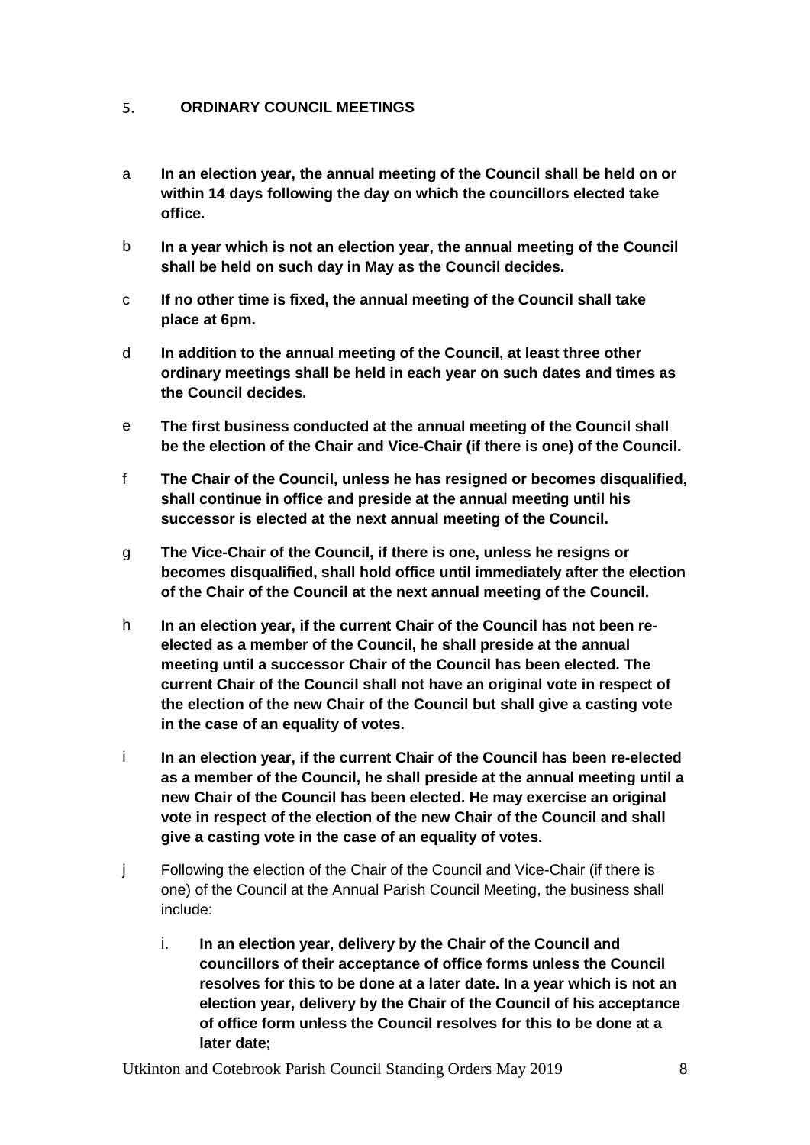#### <span id="page-7-0"></span>5. **ORDINARY COUNCIL MEETINGS**

- a **In an election year, the annual meeting of the Council shall be held on or within 14 days following the day on which the councillors elected take office.**
- b **In a year which is not an election year, the annual meeting of the Council shall be held on such day in May as the Council decides.**
- c **If no other time is fixed, the annual meeting of the Council shall take place at 6pm.**
- d **In addition to the annual meeting of the Council, at least three other ordinary meetings shall be held in each year on such dates and times as the Council decides.**
- e **The first business conducted at the annual meeting of the Council shall be the election of the Chair and Vice-Chair (if there is one) of the Council.**
- f **The Chair of the Council, unless he has resigned or becomes disqualified, shall continue in office and preside at the annual meeting until his successor is elected at the next annual meeting of the Council.**
- g **The Vice-Chair of the Council, if there is one, unless he resigns or becomes disqualified, shall hold office until immediately after the election of the Chair of the Council at the next annual meeting of the Council.**
- h **In an election year, if the current Chair of the Council has not been reelected as a member of the Council, he shall preside at the annual meeting until a successor Chair of the Council has been elected. The current Chair of the Council shall not have an original vote in respect of the election of the new Chair of the Council but shall give a casting vote in the case of an equality of votes.**
- i **In an election year, if the current Chair of the Council has been re-elected as a member of the Council, he shall preside at the annual meeting until a new Chair of the Council has been elected. He may exercise an original vote in respect of the election of the new Chair of the Council and shall give a casting vote in the case of an equality of votes.**
- j Following the election of the Chair of the Council and Vice-Chair (if there is one) of the Council at the Annual Parish Council Meeting, the business shall include:
	- i. **In an election year, delivery by the Chair of the Council and councillors of their acceptance of office forms unless the Council resolves for this to be done at a later date. In a year which is not an election year, delivery by the Chair of the Council of his acceptance of office form unless the Council resolves for this to be done at a later date;**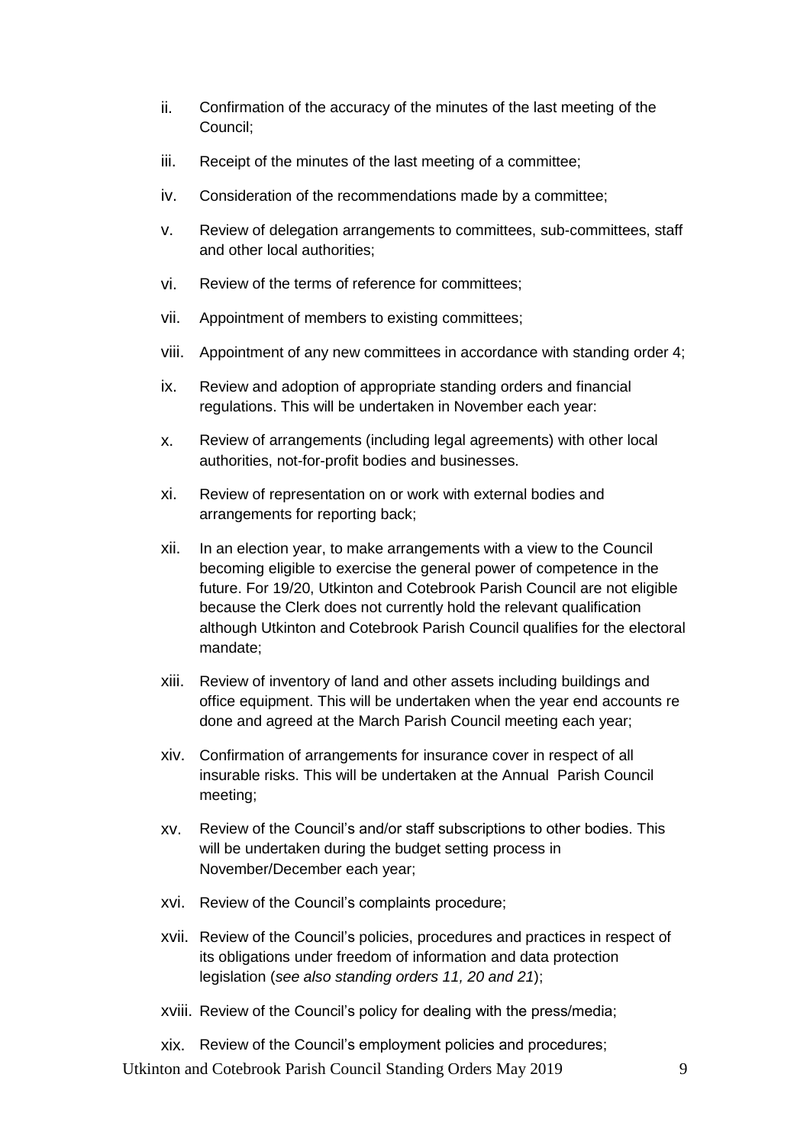- ii. Confirmation of the accuracy of the minutes of the last meeting of the Council;
- iii. Receipt of the minutes of the last meeting of a committee;
- iv. Consideration of the recommendations made by a committee;
- v. Review of delegation arrangements to committees, sub-committees, staff and other local authorities;
- vi. Review of the terms of reference for committees;
- vii. Appointment of members to existing committees;
- viii. Appointment of any new committees in accordance with standing order 4;
- ix. Review and adoption of appropriate standing orders and financial regulations. This will be undertaken in November each year:
- x. Review of arrangements (including legal agreements) with other local authorities, not-for-profit bodies and businesses.
- xi. Review of representation on or work with external bodies and arrangements for reporting back;
- xii. In an election year, to make arrangements with a view to the Council becoming eligible to exercise the general power of competence in the future. For 19/20, Utkinton and Cotebrook Parish Council are not eligible because the Clerk does not currently hold the relevant qualification although Utkinton and Cotebrook Parish Council qualifies for the electoral mandate;
- xiii. Review of inventory of land and other assets including buildings and office equipment. This will be undertaken when the year end accounts re done and agreed at the March Parish Council meeting each year;
- xiv. Confirmation of arrangements for insurance cover in respect of all insurable risks. This will be undertaken at the Annual Parish Council meeting;
- xv. Review of the Council's and/or staff subscriptions to other bodies. This will be undertaken during the budget setting process in November/December each year;
- xvi. Review of the Council's complaints procedure;
- xvii. Review of the Council's policies, procedures and practices in respect of its obligations under freedom of information and data protection legislation (*see also standing orders 11, 20 and 21*);
- xviii. Review of the Council's policy for dealing with the press/media;
- xix. Review of the Council's employment policies and procedures;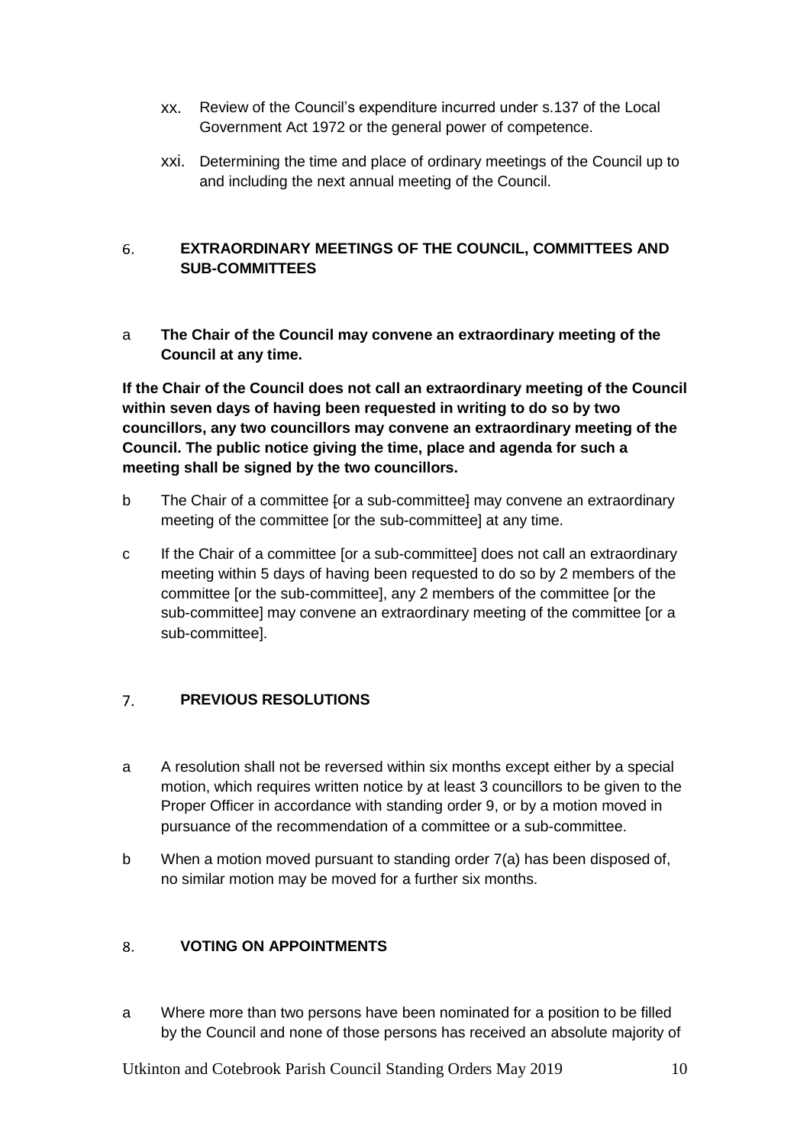- xx. Review of the Council's expenditure incurred under s.137 of the Local Government Act 1972 or the general power of competence.
- xxi. Determining the time and place of ordinary meetings of the Council up to and including the next annual meeting of the Council.

### <span id="page-9-0"></span>6. **EXTRAORDINARY MEETINGS OF THE COUNCIL, COMMITTEES AND SUB-COMMITTEES**

a **The Chair of the Council may convene an extraordinary meeting of the Council at any time.** 

**If the Chair of the Council does not call an extraordinary meeting of the Council within seven days of having been requested in writing to do so by two councillors, any two councillors may convene an extraordinary meeting of the Council. The public notice giving the time, place and agenda for such a meeting shall be signed by the two councillors.**

- b The Chair of a committee for a sub-committeel may convene an extraordinary meeting of the committee [or the sub-committee] at any time.
- c If the Chair of a committee [or a sub-committee] does not call an extraordinary meeting within 5 days of having been requested to do so by 2 members of the committee [or the sub-committee], any 2 members of the committee [or the sub-committee] may convene an extraordinary meeting of the committee [or a sub-committee].

#### <span id="page-9-1"></span> $7.$ **PREVIOUS RESOLUTIONS**

- a A resolution shall not be reversed within six months except either by a special motion, which requires written notice by at least 3 councillors to be given to the Proper Officer in accordance with standing order 9, or by a motion moved in pursuance of the recommendation of a committee or a sub-committee.
- b When a motion moved pursuant to standing order 7(a) has been disposed of, no similar motion may be moved for a further six months.

#### <span id="page-9-2"></span>**VOTING ON APPOINTMENTS** 8.

a Where more than two persons have been nominated for a position to be filled by the Council and none of those persons has received an absolute majority of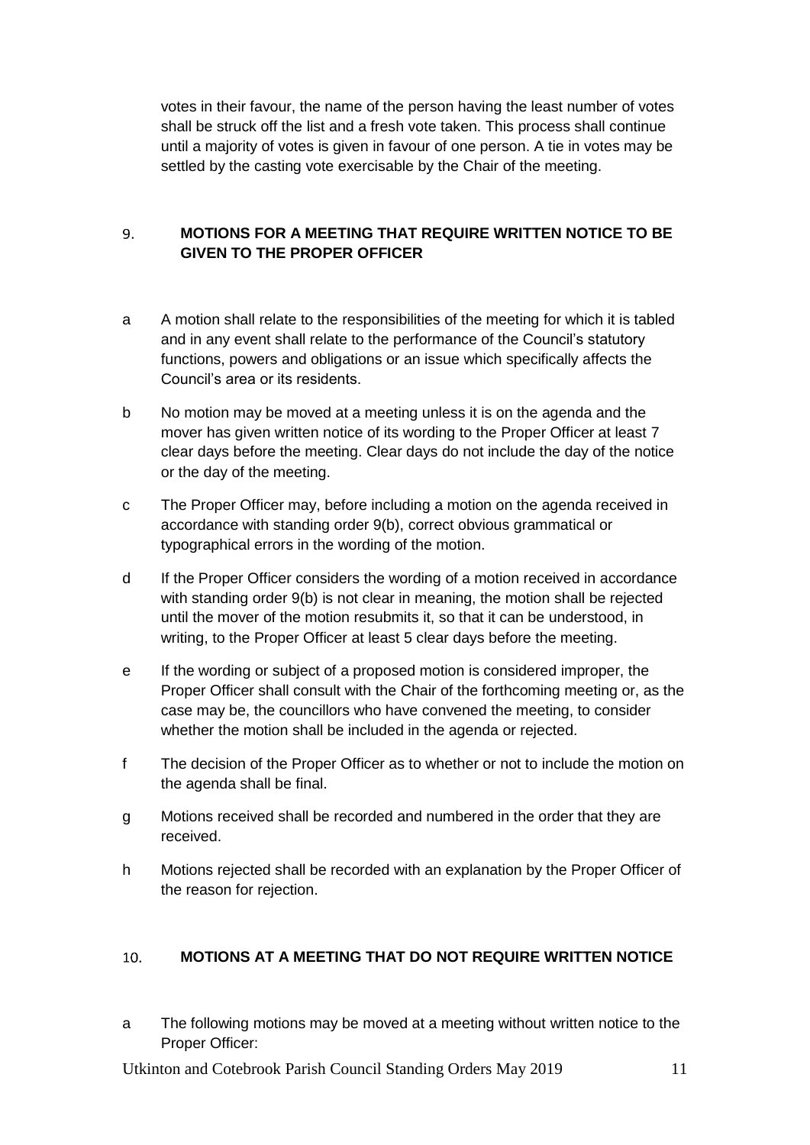votes in their favour, the name of the person having the least number of votes shall be struck off the list and a fresh vote taken. This process shall continue until a majority of votes is given in favour of one person. A tie in votes may be settled by the casting vote exercisable by the Chair of the meeting.

### <span id="page-10-0"></span>**MOTIONS FOR A MEETING THAT REQUIRE WRITTEN NOTICE TO BE**   $\mathbf{q}$ **GIVEN TO THE PROPER OFFICER**

- a A motion shall relate to the responsibilities of the meeting for which it is tabled and in any event shall relate to the performance of the Council's statutory functions, powers and obligations or an issue which specifically affects the Council's area or its residents.
- b No motion may be moved at a meeting unless it is on the agenda and the mover has given written notice of its wording to the Proper Officer at least 7 clear days before the meeting. Clear days do not include the day of the notice or the day of the meeting.
- c The Proper Officer may, before including a motion on the agenda received in accordance with standing order 9(b), correct obvious grammatical or typographical errors in the wording of the motion.
- d If the Proper Officer considers the wording of a motion received in accordance with standing order 9(b) is not clear in meaning, the motion shall be rejected until the mover of the motion resubmits it, so that it can be understood, in writing, to the Proper Officer at least 5 clear days before the meeting.
- e If the wording or subject of a proposed motion is considered improper, the Proper Officer shall consult with the Chair of the forthcoming meeting or, as the case may be, the councillors who have convened the meeting, to consider whether the motion shall be included in the agenda or rejected.
- f The decision of the Proper Officer as to whether or not to include the motion on the agenda shall be final.
- g Motions received shall be recorded and numbered in the order that they are received.
- h Motions rejected shall be recorded with an explanation by the Proper Officer of the reason for rejection.

#### <span id="page-10-1"></span> $10.$ **MOTIONS AT A MEETING THAT DO NOT REQUIRE WRITTEN NOTICE**

a The following motions may be moved at a meeting without written notice to the Proper Officer: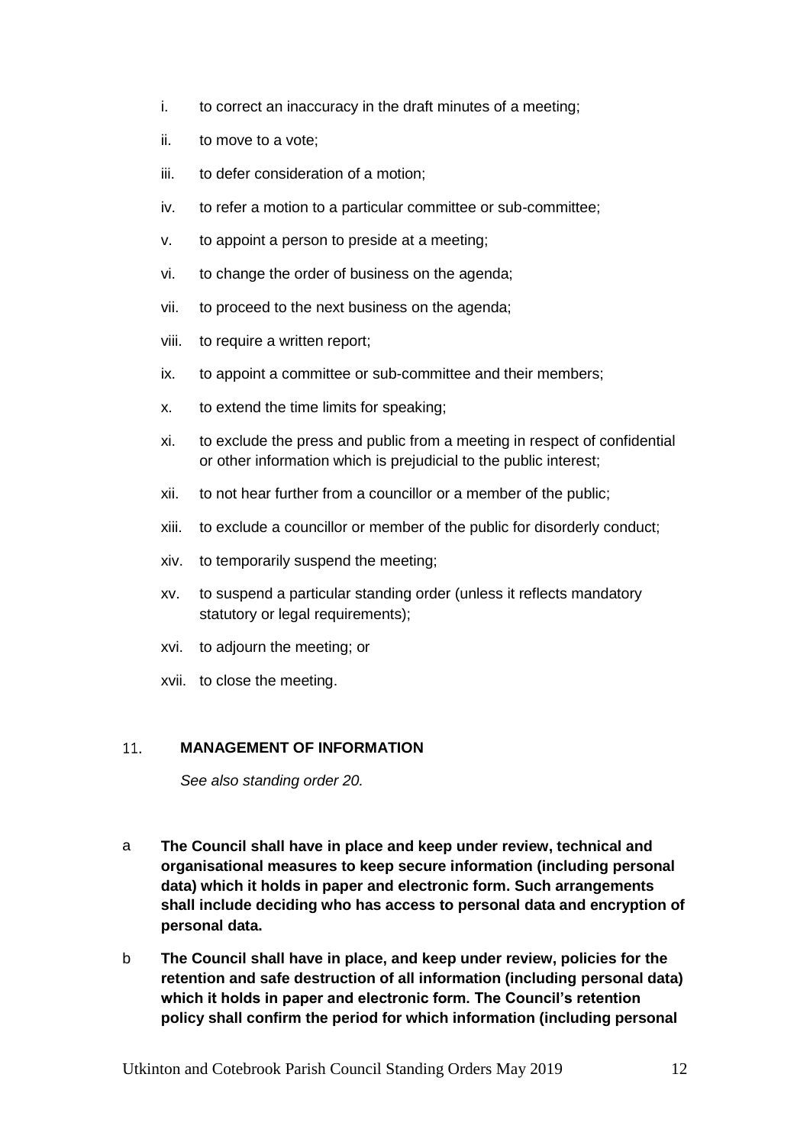- i. to correct an inaccuracy in the draft minutes of a meeting;
- ii. to move to a vote;
- iii. to defer consideration of a motion;
- iv. to refer a motion to a particular committee or sub-committee;
- v. to appoint a person to preside at a meeting;
- vi. to change the order of business on the agenda;
- vii. to proceed to the next business on the agenda;
- viii. to require a written report;
- ix. to appoint a committee or sub-committee and their members;
- x. to extend the time limits for speaking;
- xi. to exclude the press and public from a meeting in respect of confidential or other information which is prejudicial to the public interest;
- xii. to not hear further from a councillor or a member of the public;
- xiii. to exclude a councillor or member of the public for disorderly conduct;
- xiv. to temporarily suspend the meeting;
- xv. to suspend a particular standing order (unless it reflects mandatory statutory or legal requirements);
- xvi. to adjourn the meeting; or
- xvii. to close the meeting.

#### <span id="page-11-0"></span>11. **MANAGEMENT OF INFORMATION**

*See also standing order 20.*

- a **The Council shall have in place and keep under review, technical and organisational measures to keep secure information (including personal data) which it holds in paper and electronic form. Such arrangements shall include deciding who has access to personal data and encryption of personal data.**
- b **The Council shall have in place, and keep under review, policies for the retention and safe destruction of all information (including personal data) which it holds in paper and electronic form. The Council's retention policy shall confirm the period for which information (including personal**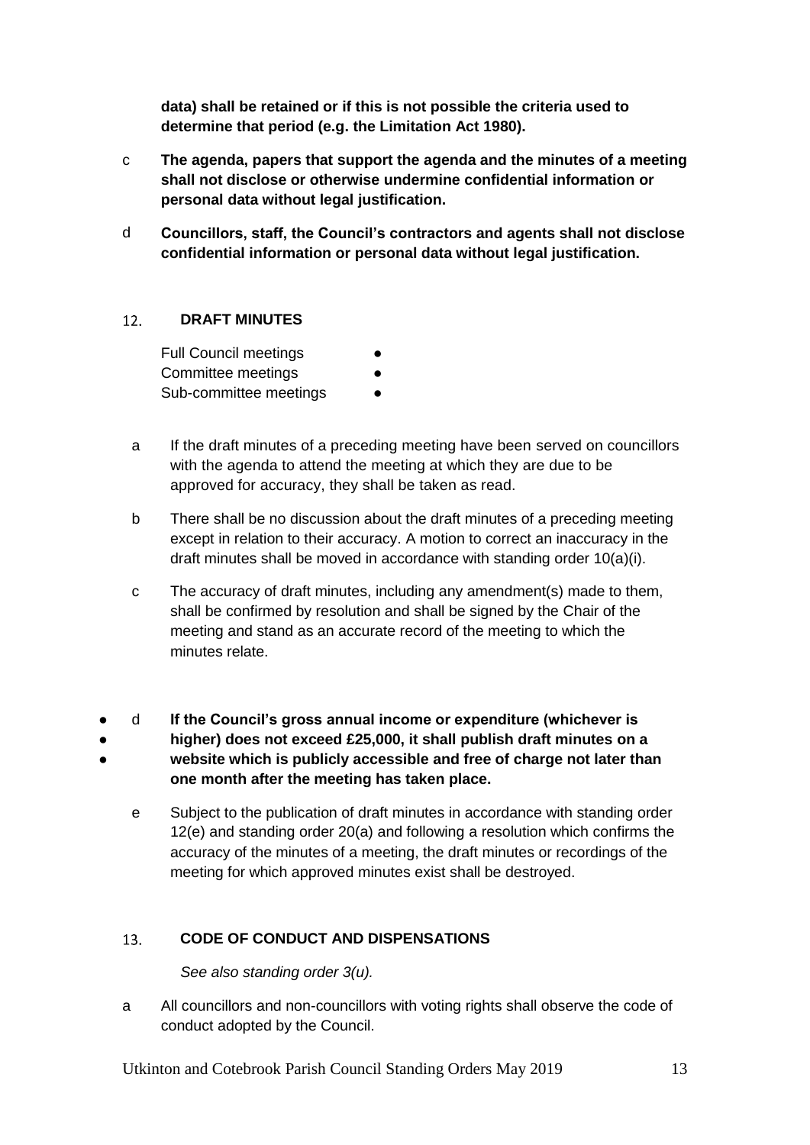**data) shall be retained or if this is not possible the criteria used to determine that period (e.g. the Limitation Act 1980).**

- c **The agenda, papers that support the agenda and the minutes of a meeting shall not disclose or otherwise undermine confidential information or personal data without legal justification.**
- d **Councillors, staff, the Council's contractors and agents shall not disclose confidential information or personal data without legal justification.**

#### <span id="page-12-0"></span> $12.$ **DRAFT MINUTES**

**Full Council meetings** Committee meetings Sub-committee meetings

- a If the draft minutes of a preceding meeting have been served on councillors with the agenda to attend the meeting at which they are due to be approved for accuracy, they shall be taken as read.
- b There shall be no discussion about the draft minutes of a preceding meeting except in relation to their accuracy. A motion to correct an inaccuracy in the draft minutes shall be moved in accordance with standing order 10(a)(i).
- c The accuracy of draft minutes, including any amendment(s) made to them, shall be confirmed by resolution and shall be signed by the Chair of the meeting and stand as an accurate record of the meeting to which the minutes relate.
- d **If the Council's gross annual income or expenditure (whichever is**
- ● **higher) does not exceed £25,000, it shall publish draft minutes on a website which is publicly accessible and free of charge not later than one month after the meeting has taken place.**
	- e Subject to the publication of draft minutes in accordance with standing order 12(e) and standing order 20(a) and following a resolution which confirms the accuracy of the minutes of a meeting, the draft minutes or recordings of the meeting for which approved minutes exist shall be destroyed.

#### <span id="page-12-1"></span>**CODE OF CONDUCT AND DISPENSATIONS**  $13.$

*See also standing order 3(u).*

a All councillors and non-councillors with voting rights shall observe the code of conduct adopted by the Council.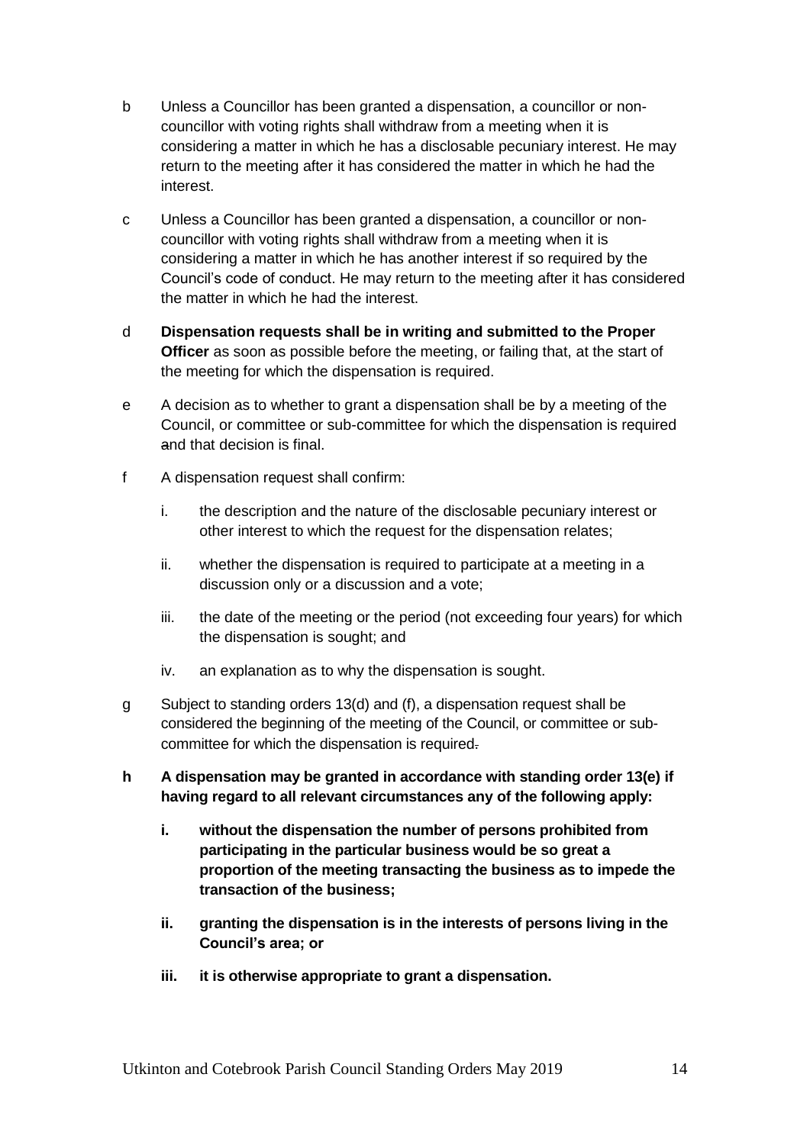- b Unless a Councillor has been granted a dispensation, a councillor or noncouncillor with voting rights shall withdraw from a meeting when it is considering a matter in which he has a disclosable pecuniary interest. He may return to the meeting after it has considered the matter in which he had the interest.
- c Unless a Councillor has been granted a dispensation, a councillor or noncouncillor with voting rights shall withdraw from a meeting when it is considering a matter in which he has another interest if so required by the Council's code of conduct. He may return to the meeting after it has considered the matter in which he had the interest.
- d **Dispensation requests shall be in writing and submitted to the Proper Officer** as soon as possible before the meeting, or failing that, at the start of the meeting for which the dispensation is required.
- e A decision as to whether to grant a dispensation shall be by a meeting of the Council, or committee or sub-committee for which the dispensation is required and that decision is final.
- f A dispensation request shall confirm:
	- i. the description and the nature of the disclosable pecuniary interest or other interest to which the request for the dispensation relates;
	- ii. whether the dispensation is required to participate at a meeting in a discussion only or a discussion and a vote;
	- iii. the date of the meeting or the period (not exceeding four years) for which the dispensation is sought; and
	- iv. an explanation as to why the dispensation is sought.
- g Subject to standing orders 13(d) and (f), a dispensation request shall be considered the beginning of the meeting of the Council, or committee or subcommittee for which the dispensation is required.
- **h A dispensation may be granted in accordance with standing order 13(e) if having regard to all relevant circumstances any of the following apply:**
	- **i. without the dispensation the number of persons prohibited from participating in the particular business would be so great a proportion of the meeting transacting the business as to impede the transaction of the business;**
	- **ii. granting the dispensation is in the interests of persons living in the Council's area; or**
	- **iii. it is otherwise appropriate to grant a dispensation.**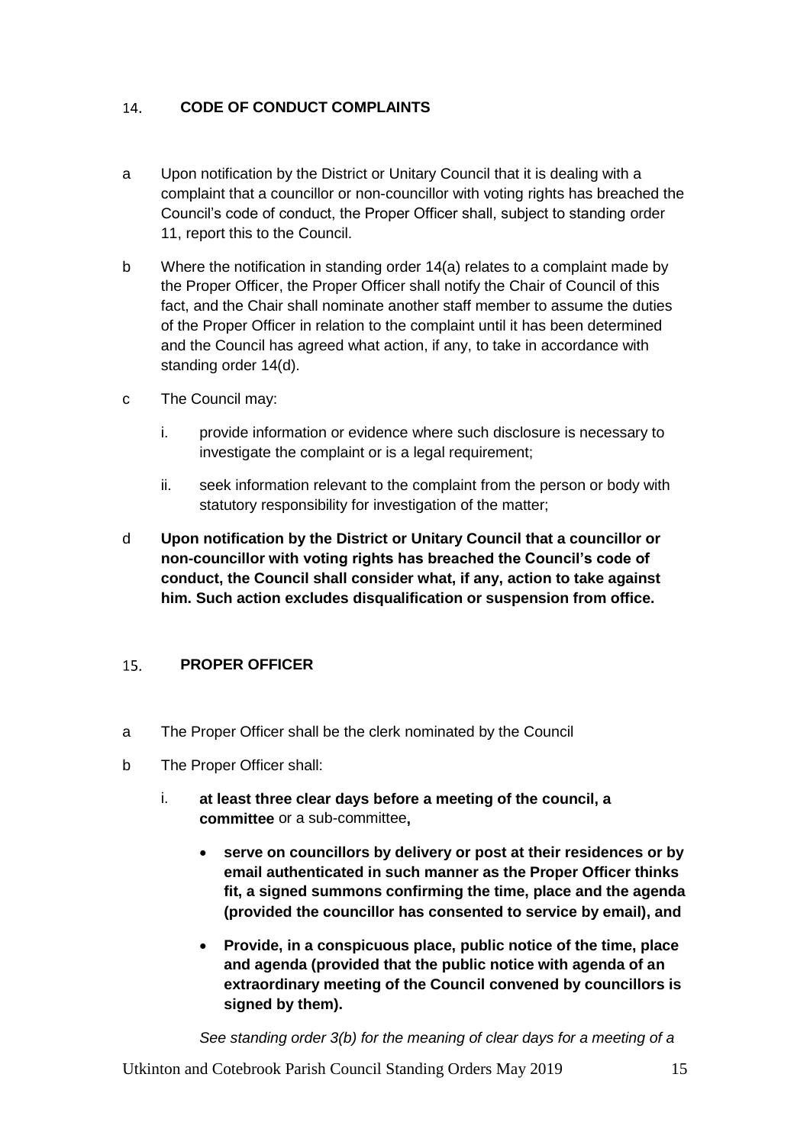#### <span id="page-14-0"></span>**CODE OF CONDUCT COMPLAINTS**  14.

- a Upon notification by the District or Unitary Council that it is dealing with a complaint that a councillor or non-councillor with voting rights has breached the Council's code of conduct, the Proper Officer shall, subject to standing order 11, report this to the Council.
- b Where the notification in standing order 14(a) relates to a complaint made by the Proper Officer, the Proper Officer shall notify the Chair of Council of this fact, and the Chair shall nominate another staff member to assume the duties of the Proper Officer in relation to the complaint until it has been determined and the Council has agreed what action, if any, to take in accordance with standing order 14(d).
- c The Council may:
	- i. provide information or evidence where such disclosure is necessary to investigate the complaint or is a legal requirement;
	- ii. seek information relevant to the complaint from the person or body with statutory responsibility for investigation of the matter;
- d **Upon notification by the District or Unitary Council that a councillor or non-councillor with voting rights has breached the Council's code of conduct, the Council shall consider what, if any, action to take against him. Such action excludes disqualification or suspension from office.**

#### <span id="page-14-1"></span> $15<sub>1</sub>$ **PROPER OFFICER**

- a The Proper Officer shall be the clerk nominated by the Council
- b The Proper Officer shall:
	- i. **at least three clear days before a meeting of the council, a committee** or a sub-committee**,**
		- **serve on councillors by delivery or post at their residences or by email authenticated in such manner as the Proper Officer thinks fit, a signed summons confirming the time, place and the agenda (provided the councillor has consented to service by email), and**
		- **Provide, in a conspicuous place, public notice of the time, place and agenda (provided that the public notice with agenda of an extraordinary meeting of the Council convened by councillors is signed by them).**

*See standing order 3(b) for the meaning of clear days for a meeting of a*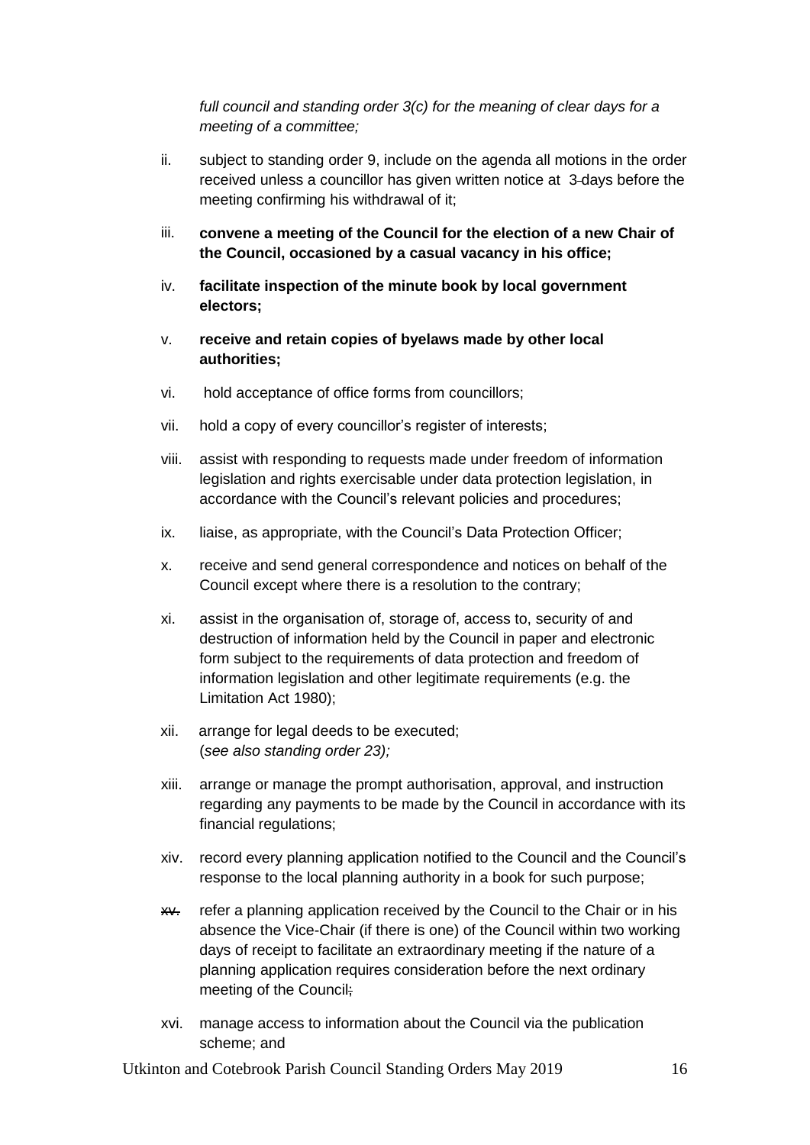*full council and standing order 3(c) for the meaning of clear days for a meeting of a committee;*

- ii. subject to standing order 9, include on the agenda all motions in the order received unless a councillor has given written notice at 3 days before the meeting confirming his withdrawal of it;
- iii. **convene a meeting of the Council for the election of a new Chair of the Council, occasioned by a casual vacancy in his office;**
- iv. **facilitate inspection of the minute book by local government electors;**
- v. **receive and retain copies of byelaws made by other local authorities;**
- vi. hold acceptance of office forms from councillors;
- vii. hold a copy of every councillor's register of interests;
- viii. assist with responding to requests made under freedom of information legislation and rights exercisable under data protection legislation, in accordance with the Council's relevant policies and procedures;
- ix. liaise, as appropriate, with the Council's Data Protection Officer;
- x. receive and send general correspondence and notices on behalf of the Council except where there is a resolution to the contrary;
- xi. assist in the organisation of, storage of, access to, security of and destruction of information held by the Council in paper and electronic form subject to the requirements of data protection and freedom of information legislation and other legitimate requirements (e.g. the Limitation Act 1980);
- xii. arrange for legal deeds to be executed; (*see also standing order 23);*
- xiii. arrange or manage the prompt authorisation, approval, and instruction regarding any payments to be made by the Council in accordance with its financial regulations;
- xiv. record every planning application notified to the Council and the Council's response to the local planning authority in a book for such purpose;
- xx. refer a planning application received by the Council to the Chair or in his absence the Vice-Chair (if there is one) of the Council within two working days of receipt to facilitate an extraordinary meeting if the nature of a planning application requires consideration before the next ordinary meeting of the Council;
- xvi. manage access to information about the Council via the publication scheme; and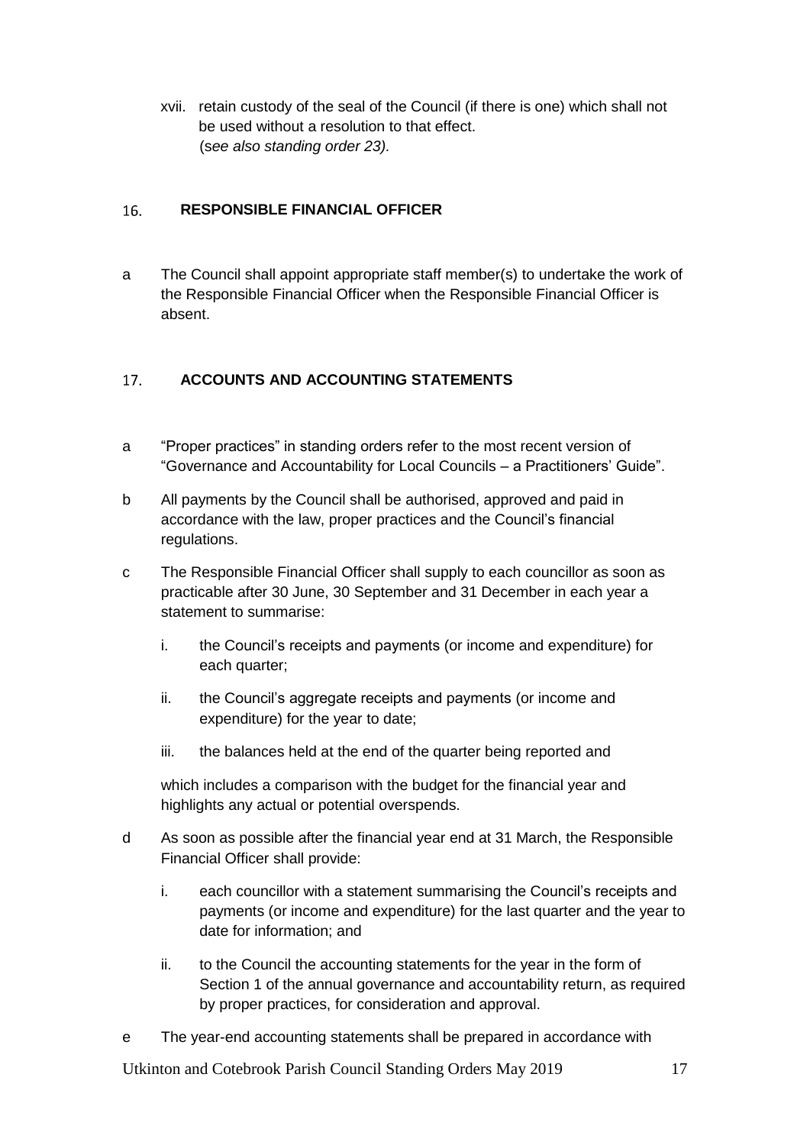xvii. retain custody of the seal of the Council (if there is one) which shall not be used without a resolution to that effect. (s*ee also standing order 23).*

#### <span id="page-16-0"></span>16. **RESPONSIBLE FINANCIAL OFFICER**

a The Council shall appoint appropriate staff member(s) to undertake the work of the Responsible Financial Officer when the Responsible Financial Officer is absent.

#### <span id="page-16-1"></span> $17.$ **ACCOUNTS AND ACCOUNTING STATEMENTS**

- a "Proper practices" in standing orders refer to the most recent version of "Governance and Accountability for Local Councils – a Practitioners' Guide".
- b All payments by the Council shall be authorised, approved and paid in accordance with the law, proper practices and the Council's financial regulations.
- c The Responsible Financial Officer shall supply to each councillor as soon as practicable after 30 June, 30 September and 31 December in each year a statement to summarise:
	- i. the Council's receipts and payments (or income and expenditure) for each quarter;
	- ii. the Council's aggregate receipts and payments (or income and expenditure) for the year to date;
	- iii. the balances held at the end of the quarter being reported and

which includes a comparison with the budget for the financial year and highlights any actual or potential overspends.

- d As soon as possible after the financial year end at 31 March, the Responsible Financial Officer shall provide:
	- i. each councillor with a statement summarising the Council's receipts and payments (or income and expenditure) for the last quarter and the year to date for information; and
	- ii. to the Council the accounting statements for the year in the form of Section 1 of the annual governance and accountability return, as required by proper practices, for consideration and approval.
- e The year-end accounting statements shall be prepared in accordance with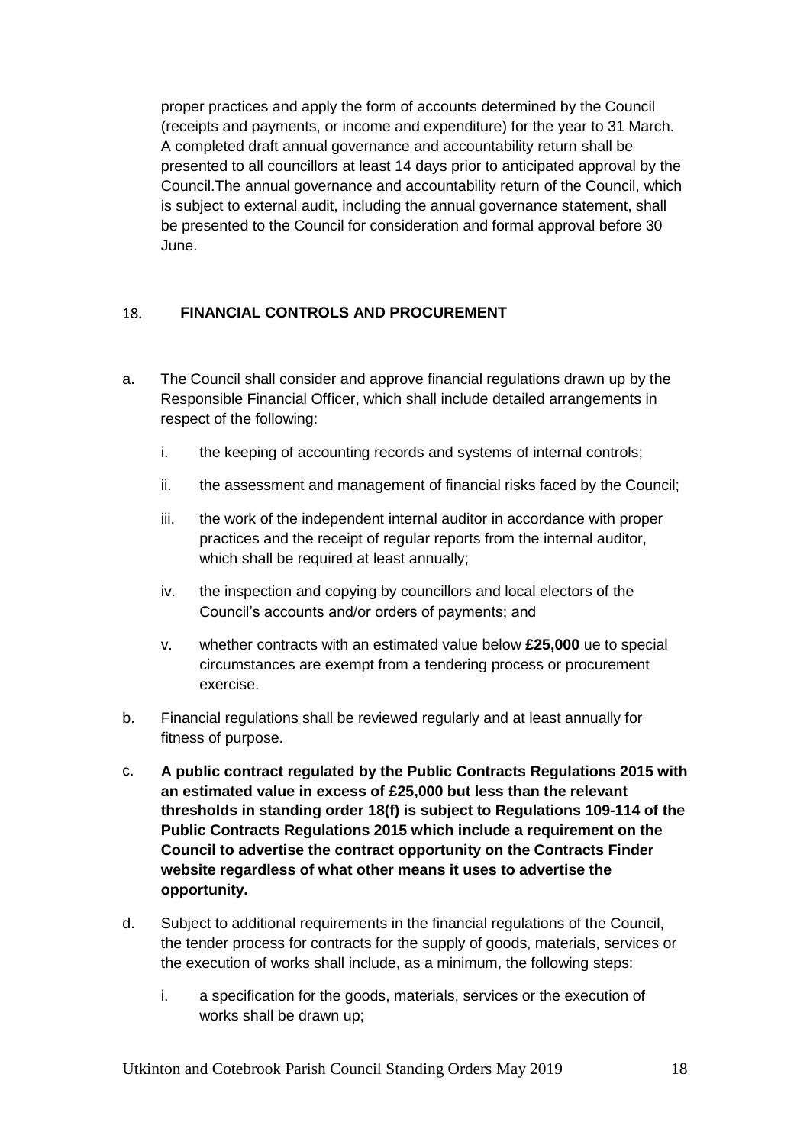proper practices and apply the form of accounts determined by the Council (receipts and payments, or income and expenditure) for the year to 31 March. A completed draft annual governance and accountability return shall be presented to all councillors at least 14 days prior to anticipated approval by the Council.The annual governance and accountability return of the Council, which is subject to external audit, including the annual governance statement, shall be presented to the Council for consideration and formal approval before 30 June.

#### <span id="page-17-0"></span>18. **FINANCIAL CONTROLS AND PROCUREMENT**

- a. The Council shall consider and approve financial regulations drawn up by the Responsible Financial Officer, which shall include detailed arrangements in respect of the following:
	- i. the keeping of accounting records and systems of internal controls;
	- ii. the assessment and management of financial risks faced by the Council;
	- iii. the work of the independent internal auditor in accordance with proper practices and the receipt of regular reports from the internal auditor, which shall be required at least annually;
	- iv. the inspection and copying by councillors and local electors of the Council's accounts and/or orders of payments; and
	- v. whether contracts with an estimated value below **£25,000** ue to special circumstances are exempt from a tendering process or procurement exercise.
- b. Financial regulations shall be reviewed regularly and at least annually for fitness of purpose.
- c. **A public contract regulated by the Public Contracts Regulations 2015 with an estimated value in excess of £25,000 but less than the relevant thresholds in standing order 18(f) is subject to Regulations 109-114 of the Public Contracts Regulations 2015 which include a requirement on the Council to advertise the contract opportunity on the Contracts Finder website regardless of what other means it uses to advertise the opportunity.**
- d. Subject to additional requirements in the financial regulations of the Council, the tender process for contracts for the supply of goods, materials, services or the execution of works shall include, as a minimum, the following steps:
	- i. a specification for the goods, materials, services or the execution of works shall be drawn up;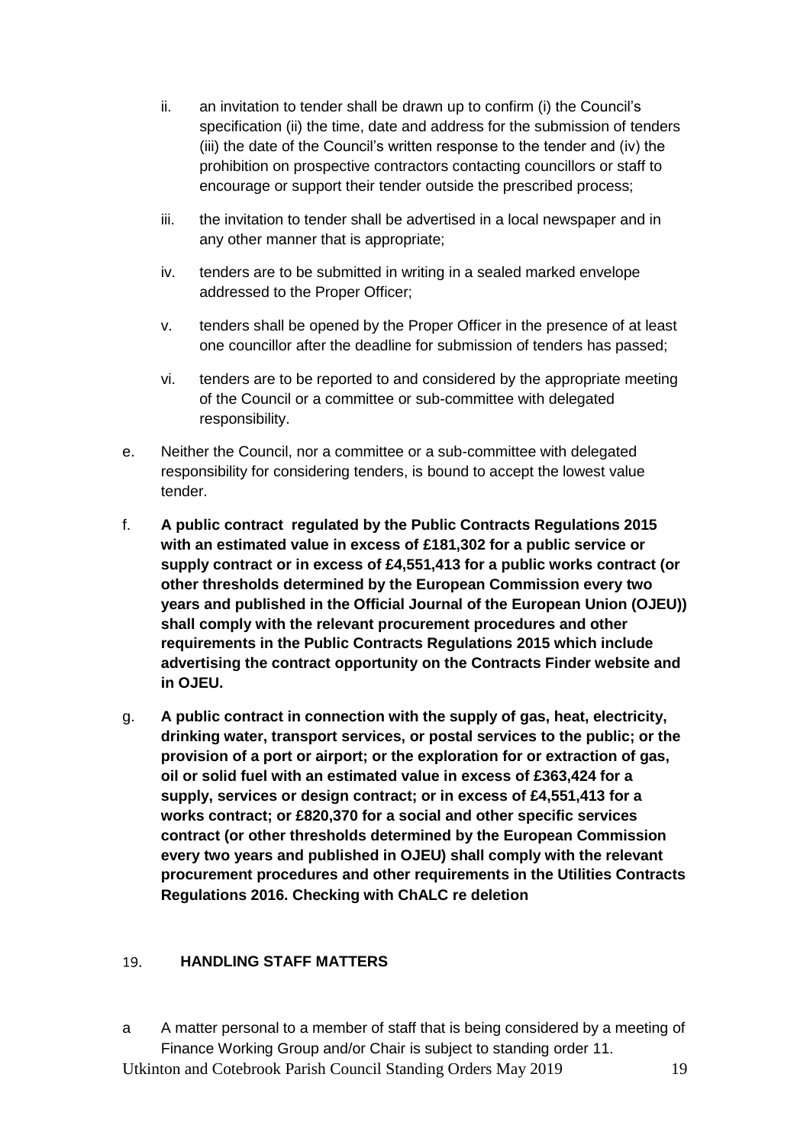- ii. an invitation to tender shall be drawn up to confirm (i) the Council's specification (ii) the time, date and address for the submission of tenders (iii) the date of the Council's written response to the tender and (iv) the prohibition on prospective contractors contacting councillors or staff to encourage or support their tender outside the prescribed process;
- iii. the invitation to tender shall be advertised in a local newspaper and in any other manner that is appropriate;
- iv. tenders are to be submitted in writing in a sealed marked envelope addressed to the Proper Officer;
- v. tenders shall be opened by the Proper Officer in the presence of at least one councillor after the deadline for submission of tenders has passed;
- vi. tenders are to be reported to and considered by the appropriate meeting of the Council or a committee or sub-committee with delegated responsibility.
- e. Neither the Council, nor a committee or a sub-committee with delegated responsibility for considering tenders, is bound to accept the lowest value tender.
- f. **A public contract regulated by the Public Contracts Regulations 2015 with an estimated value in excess of £181,302 for a public service or supply contract or in excess of £4,551,413 for a public works contract (or other thresholds determined by the European Commission every two years and published in the Official Journal of the European Union (OJEU)) shall comply with the relevant procurement procedures and other requirements in the Public Contracts Regulations 2015 which include advertising the contract opportunity on the Contracts Finder website and in OJEU.**
- g. **A public contract in connection with the supply of gas, heat, electricity, drinking water, transport services, or postal services to the public; or the provision of a port or airport; or the exploration for or extraction of gas, oil or solid fuel with an estimated value in excess of £363,424 for a supply, services or design contract; or in excess of £4,551,413 for a works contract; or £820,370 for a social and other specific services contract (or other thresholds determined by the European Commission every two years and published in OJEU) shall comply with the relevant procurement procedures and other requirements in the Utilities Contracts Regulations 2016. Checking with ChALC re deletion**

#### <span id="page-18-0"></span>**HANDLING STAFF MATTERS** 19.

Utkinton and Cotebrook Parish Council Standing Orders May 2019 19 a A matter personal to a member of staff that is being considered by a meeting of Finance Working Group and/or Chair is subject to standing order 11.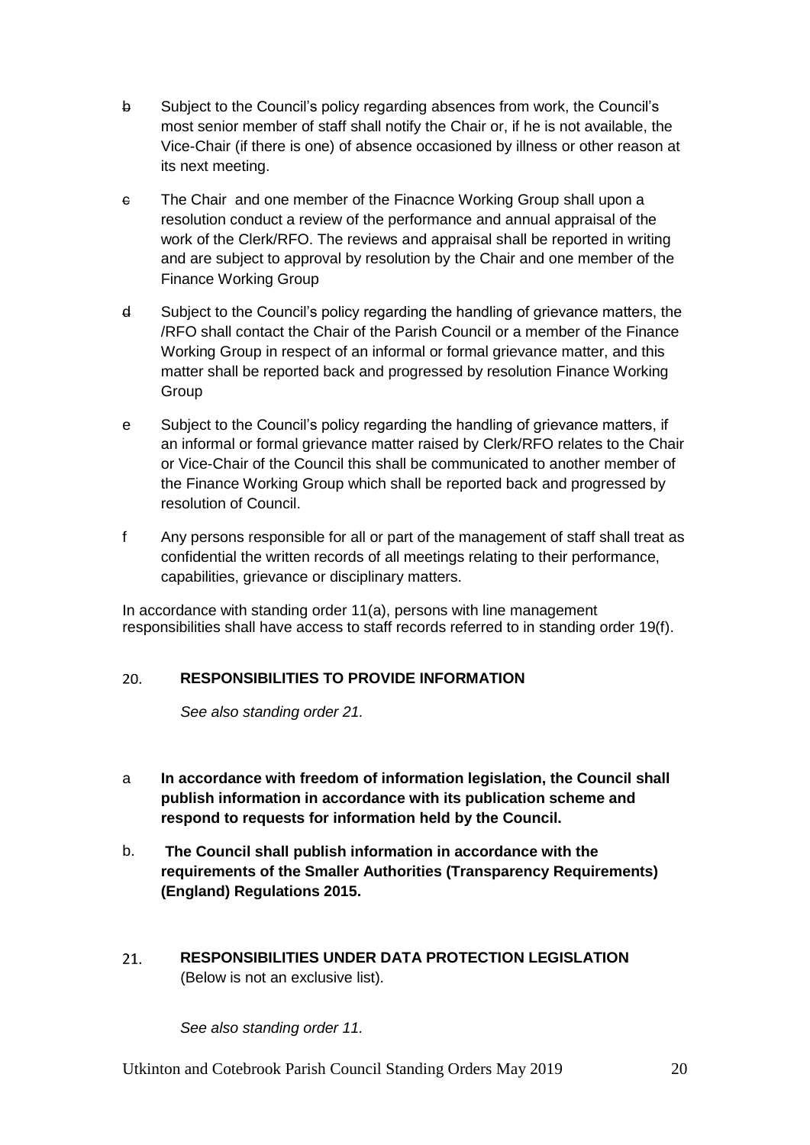- b Subject to the Council's policy regarding absences from work, the Council's most senior member of staff shall notify the Chair or, if he is not available, the Vice-Chair (if there is one) of absence occasioned by illness or other reason at its next meeting.
- c The Chair and one member of the Finacnce Working Group shall upon a resolution conduct a review of the performance and annual appraisal of the work of the Clerk/RFO. The reviews and appraisal shall be reported in writing and are subject to approval by resolution by the Chair and one member of the Finance Working Group
- d Subject to the Council's policy regarding the handling of grievance matters, the /RFO shall contact the Chair of the Parish Council or a member of the Finance Working Group in respect of an informal or formal grievance matter, and this matter shall be reported back and progressed by resolution Finance Working Group
- e Subject to the Council's policy regarding the handling of grievance matters, if an informal or formal grievance matter raised by Clerk/RFO relates to the Chair or Vice-Chair of the Council this shall be communicated to another member of the Finance Working Group which shall be reported back and progressed by resolution of Council.
- f Any persons responsible for all or part of the management of staff shall treat as confidential the written records of all meetings relating to their performance, capabilities, grievance or disciplinary matters.

In accordance with standing order 11(a), persons with line management responsibilities shall have access to staff records referred to in standing order 19(f).

#### <span id="page-19-0"></span> $20.$ **RESPONSIBILITIES TO PROVIDE INFORMATION**

*See also standing order 21.*

- a **In accordance with freedom of information legislation, the Council shall publish information in accordance with its publication scheme and respond to requests for information held by the Council.**
- b. **The Council shall publish information in accordance with the requirements of the Smaller Authorities (Transparency Requirements) (England) Regulations 2015.**
- <span id="page-19-1"></span> $21.$ **RESPONSIBILITIES UNDER DATA PROTECTION LEGISLATION**  (Below is not an exclusive list).

*See also standing order 11.*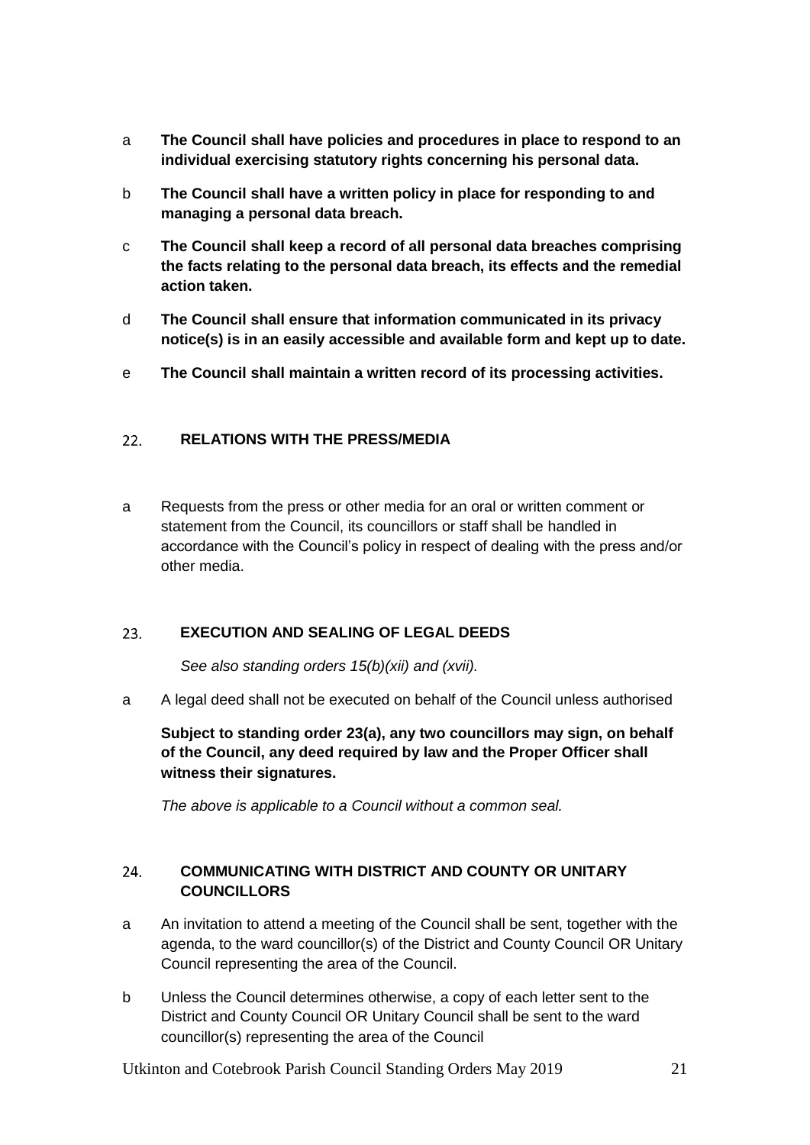- a **The Council shall have policies and procedures in place to respond to an individual exercising statutory rights concerning his personal data.**
- b **The Council shall have a written policy in place for responding to and managing a personal data breach.**
- c **The Council shall keep a record of all personal data breaches comprising the facts relating to the personal data breach, its effects and the remedial action taken.**
- d **The Council shall ensure that information communicated in its privacy notice(s) is in an easily accessible and available form and kept up to date.**
- e **The Council shall maintain a written record of its processing activities.**

#### <span id="page-20-0"></span>**RELATIONS WITH THE PRESS/MEDIA**  $22.$

a Requests from the press or other media for an oral or written comment or statement from the Council, its councillors or staff shall be handled in accordance with the Council's policy in respect of dealing with the press and/or other media.

#### <span id="page-20-1"></span> $23.$ **EXECUTION AND SEALING OF LEGAL DEEDS**

*See also standing orders 15(b)(xii) and (xvii).*

a A legal deed shall not be executed on behalf of the Council unless authorised

**Subject to standing order 23(a), any two councillors may sign, on behalf of the Council, any deed required by law and the Proper Officer shall witness their signatures.**

*The above is applicable to a Council without a common seal.*

### <span id="page-20-2"></span> $24.$ **COMMUNICATING WITH DISTRICT AND COUNTY OR UNITARY COUNCILLORS**

- a An invitation to attend a meeting of the Council shall be sent, together with the agenda, to the ward councillor(s) of the District and County Council OR Unitary Council representing the area of the Council.
- b Unless the Council determines otherwise, a copy of each letter sent to the District and County Council OR Unitary Council shall be sent to the ward councillor(s) representing the area of the Council